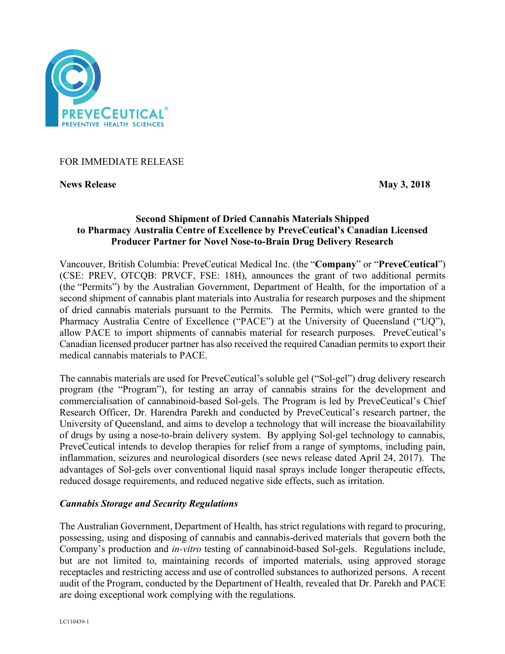

## FOR IMMEDIATE RELEASE

**News Release May 3, 2018** 

# **Second Shipment of Dried Cannabis Materials Shipped to Pharmacy Australia Centre of Excellence by PreveCeutical's Canadian Licensed Producer Partner for Novel Nose-to-Brain Drug Delivery Research**

Vancouver, British Columbia: PreveCeutical Medical Inc. (the "**Company**" or "**PreveCeutical**") (CSE: PREV, OTCQB: PRVCF, FSE: 18H), announces the grant of two additional permits (the "Permits") by the Australian Government, Department of Health, for the importation of a second shipment of cannabis plant materials into Australia for research purposes and the shipment of dried cannabis materials pursuant to the Permits. The Permits, which were granted to the Pharmacy Australia Centre of Excellence ("PACE") at the University of Queensland ("UQ"), allow PACE to import shipments of cannabis material for research purposes. PreveCeutical's Canadian licensed producer partner has also received the required Canadian permits to export their medical cannabis materials to PACE.

The cannabis materials are used for PreveCeutical's soluble gel ("Sol-gel") drug delivery research program (the "Program"), for testing an array of cannabis strains for the development and commercialisation of cannabinoid-based Sol-gels. The Program is led by PreveCeutical's Chief Research Officer, Dr. Harendra Parekh and conducted by PreveCeutical's research partner, the University of Queensland, and aims to develop a technology that will increase the bioavailability of drugs by using a nose-to-brain delivery system. By applying Sol-gel technology to cannabis, PreveCeutical intends to develop therapies for relief from a range of symptoms, including pain, inflammation, seizures and neurological disorders (see news release dated April 24, 2017). The advantages of Sol-gels over conventional liquid nasal sprays include longer therapeutic effects, reduced dosage requirements, and reduced negative side effects, such as irritation.

## *Cannabis Storage and Security Regulations*

The Australian Government, Department of Health, has strict regulations with regard to procuring, possessing, using and disposing of cannabis and cannabis-derived materials that govern both the Company's production and *in-vitro* testing of cannabinoid-based Sol-gels. Regulations include, but are not limited to, maintaining records of imported materials, using approved storage receptacles and restricting access and use of controlled substances to authorized persons. A recent audit of the Program, conducted by the Department of Health, revealed that Dr. Parekh and PACE are doing exceptional work complying with the regulations.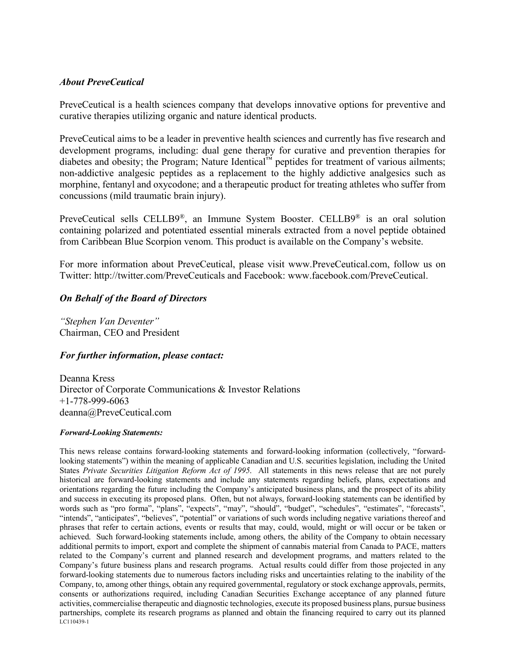## *About PreveCeutical*

PreveCeutical is a health sciences company that develops innovative options for preventive and curative therapies utilizing organic and nature identical products.

PreveCeutical aims to be a leader in preventive health sciences and currently has five research and development programs, including: dual gene therapy for curative and prevention therapies for diabetes and obesity; the Program; Nature Identical™ peptides for treatment of various ailments; non-addictive analgesic peptides as a replacement to the highly addictive analgesics such as morphine, fentanyl and oxycodone; and a therapeutic product for treating athletes who suffer from concussions (mild traumatic brain injury).

PreveCeutical sells CELLB9®, an Immune System Booster. CELLB9® is an oral solution containing polarized and potentiated essential minerals extracted from a novel peptide obtained from Caribbean Blue Scorpion venom. This product is available on the Company's website.

For more information about PreveCeutical, please visit www.PreveCeutical.com, follow us on Twitter: http://twitter.com/PreveCeuticals and Facebook: www.facebook.com/PreveCeutical.

## *On Behalf of the Board of Directors*

*"Stephen Van Deventer"* Chairman, CEO and President

## *For further information, please contact:*

Deanna Kress Director of Corporate Communications & Investor Relations +1-778-999-6063 deanna@PreveCeutical.com

#### *Forward-Looking Statements:*

LC110439-1 This news release contains forward-looking statements and forward-looking information (collectively, "forwardlooking statements") within the meaning of applicable Canadian and U.S. securities legislation, including the United States *Private Securities Litigation Reform Act of 1995*. All statements in this news release that are not purely historical are forward-looking statements and include any statements regarding beliefs, plans, expectations and orientations regarding the future including the Company's anticipated business plans, and the prospect of its ability and success in executing its proposed plans. Often, but not always, forward-looking statements can be identified by words such as "pro forma", "plans", "expects", "may", "should", "budget", "schedules", "estimates", "forecasts", "intends", "anticipates", "believes", "potential" or variations of such words including negative variations thereof and phrases that refer to certain actions, events or results that may, could, would, might or will occur or be taken or achieved. Such forward-looking statements include, among others, the ability of the Company to obtain necessary additional permits to import, export and complete the shipment of cannabis material from Canada to PACE, matters related to the Company's current and planned research and development programs, and matters related to the Company's future business plans and research programs. Actual results could differ from those projected in any forward-looking statements due to numerous factors including risks and uncertainties relating to the inability of the Company, to, among other things, obtain any required governmental, regulatory or stock exchange approvals, permits, consents or authorizations required, including Canadian Securities Exchange acceptance of any planned future activities, commercialise therapeutic and diagnostic technologies, execute its proposed business plans, pursue business partnerships, complete its research programs as planned and obtain the financing required to carry out its planned